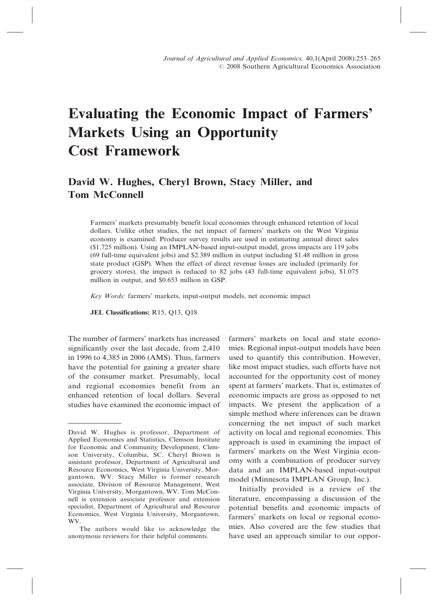# Evaluating the Economic Impact of Farmers' Markets Using an Opportunity Cost Framework

# David W. Hughes, Cheryl Brown, Stacy Miller, and Tom McConnell

Farmers' markets presumably benefit local economies through enhanced retention of local dollars. Unlike other studies, the net impact of farmers' markets on the West Virginia economy is examined. Producer survey results are used in estimating annual direct sales (\$1.725 million). Using an IMPLAN-based input-output model, gross impacts are 119 jobs (69 full-time equivalent jobs) and \$2.389 million in output including \$1.48 million in gross state product (GSP). When the effect of direct revenue losses are included (primarily for grocery stores), the impact is reduced to 82 jobs (43 full-time equivalent jobs), \$1.075 million in output, and \$0.653 million in GSP.

Key Words: farmers' markets, input-output models, net economic impact

JEL Classifications: R15, Q13, Q18

The number of farmers' markets has increased significantly over the last decade, from 2,410 in 1996 to 4,385 in 2006 (AMS). Thus, farmers have the potential for gaining a greater share of the consumer market. Presumably, local and regional economies benefit from an enhanced retention of local dollars. Several studies have examined the economic impact of

The authors would like to acknowledge the anonymous reviewers for their helpful comments.

farmers' markets on local and state economies. Regional input-output models have been used to quantify this contribution. However, like most impact studies, such efforts have not accounted for the opportunity cost of money spent at farmers' markets. That is, estimates of economic impacts are gross as opposed to net impacts. We present the application of a simple method where inferences can be drawn concerning the net impact of such market activity on local and regional economies. This approach is used in examining the impact of farmers' markets on the West Virginia economy with a combination of producer survey data and an IMPLAN-based input-output model (Minnesota IMPLAN Group, Inc.).

Initially provided is a review of the literature, encompassing a discussion of the potential benefits and economic impacts of farmers' markets on local or regional economies. Also covered are the few studies that have used an approach similar to our oppor-

David W. Hughes is professor, Department of Applied Economics and Statistics, Clemson Institute for Economic and Community Development, Clemson University, Columbia, SC. Cheryl Brown is assistant professor, Department of Agricultural and Resource Economics, West Virginia University, Morgantown, WV. Stacy Miller is former research associate, Division of Resource Management, West Virginia University, Morgantown, WV. Tom McConnell is extension associate professor and extension specialist, Department of Agricultural and Resource Economics, West Virginia University, Morgantown, WV.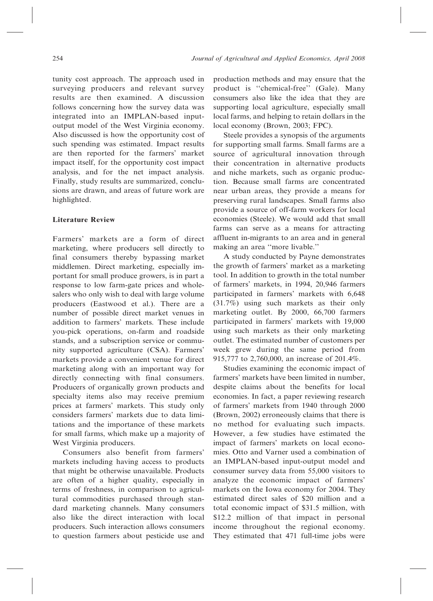tunity cost approach. The approach used in surveying producers and relevant survey results are then examined. A discussion follows concerning how the survey data was integrated into an IMPLAN-based inputoutput model of the West Virginia economy. Also discussed is how the opportunity cost of such spending was estimated. Impact results are then reported for the farmers' market impact itself, for the opportunity cost impact analysis, and for the net impact analysis. Finally, study results are summarized, conclusions are drawn, and areas of future work are highlighted.

# Literature Review

Farmers' markets are a form of direct marketing, where producers sell directly to final consumers thereby bypassing market middlemen. Direct marketing, especially important for small produce growers, is in part a response to low farm-gate prices and wholesalers who only wish to deal with large volume producers (Eastwood et al.). There are a number of possible direct market venues in addition to farmers' markets. These include you-pick operations, on-farm and roadside stands, and a subscription service or community supported agriculture (CSA). Farmers' markets provide a convenient venue for direct marketing along with an important way for directly connecting with final consumers. Producers of organically grown products and specialty items also may receive premium prices at farmers' markets. This study only considers farmers' markets due to data limitations and the importance of these markets for small farms, which make up a majority of West Virginia producers.

Consumers also benefit from farmers' markets including having access to products that might be otherwise unavailable. Products are often of a higher quality, especially in terms of freshness, in comparison to agricultural commodities purchased through standard marketing channels. Many consumers also like the direct interaction with local producers. Such interaction allows consumers to question farmers about pesticide use and production methods and may ensure that the product is ''chemical-free'' (Gale). Many consumers also like the idea that they are supporting local agriculture, especially small local farms, and helping to retain dollars in the local economy (Brown, 2003; FPC).

Steele provides a synopsis of the arguments for supporting small farms. Small farms are a source of agricultural innovation through their concentration in alternative products and niche markets, such as organic production. Because small farms are concentrated near urban areas, they provide a means for preserving rural landscapes. Small farms also provide a source of off-farm workers for local economies (Steele). We would add that small farms can serve as a means for attracting affluent in-migrants to an area and in general making an area ''more livable.''

A study conducted by Payne demonstrates the growth of farmers' market as a marketing tool. In addition to growth in the total number of farmers' markets, in 1994, 20,946 farmers participated in farmers' markets with 6,648 (31.7%) using such markets as their only marketing outlet. By 2000, 66,700 farmers participated in farmers' markets with 19,000 using such markets as their only marketing outlet. The estimated number of customers per week grew during the same period from 915,777 to 2,760,000, an increase of 201.4%.

Studies examining the economic impact of farmers' markets have been limited in number, despite claims about the benefits for local economies. In fact, a paper reviewing research of farmers' markets from 1940 through 2000 (Brown, 2002) erroneously claims that there is no method for evaluating such impacts. However, a few studies have estimated the impact of farmers' markets on local economies. Otto and Varner used a combination of an IMPLAN-based input-output model and consumer survey data from 55,000 visitors to analyze the economic impact of farmers' markets on the Iowa economy for 2004. They estimated direct sales of \$20 million and a total economic impact of \$31.5 million, with \$12.2 million of that impact in personal income throughout the regional economy. They estimated that 471 full-time jobs were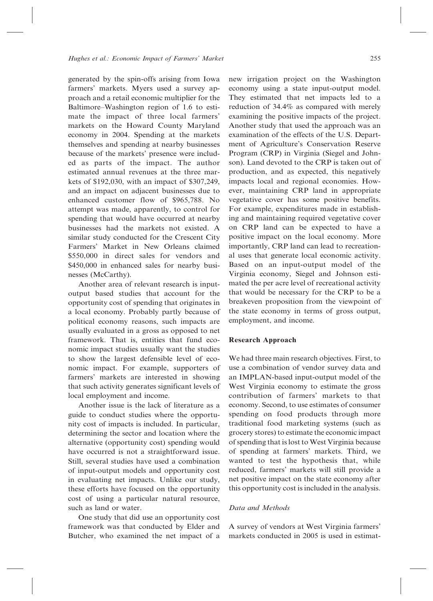generated by the spin-offs arising from Iowa farmers' markets. Myers used a survey approach and a retail economic multiplier for the Baltimore–Washington region of 1.6 to estimate the impact of three local farmers' markets on the Howard County Maryland economy in 2004. Spending at the markets themselves and spending at nearby businesses because of the markets' presence were included as parts of the impact. The author estimated annual revenues at the three markets of \$192,030, with an impact of \$307,249, and an impact on adjacent businesses due to enhanced customer flow of \$965,788. No attempt was made, apparently, to control for spending that would have occurred at nearby businesses had the markets not existed. A similar study conducted for the Crescent City Farmers' Market in New Orleans claimed \$550,000 in direct sales for vendors and \$450,000 in enhanced sales for nearby businesses (McCarthy).

Another area of relevant research is inputoutput based studies that account for the opportunity cost of spending that originates in a local economy. Probably partly because of political economy reasons, such impacts are usually evaluated in a gross as opposed to net framework. That is, entities that fund economic impact studies usually want the studies to show the largest defensible level of economic impact. For example, supporters of farmers' markets are interested in showing that such activity generates significant levels of local employment and income.

Another issue is the lack of literature as a guide to conduct studies where the opportunity cost of impacts is included. In particular, determining the sector and location where the alternative (opportunity cost) spending would have occurred is not a straightforward issue. Still, several studies have used a combination of input-output models and opportunity cost in evaluating net impacts. Unlike our study, these efforts have focused on the opportunity cost of using a particular natural resource, such as land or water.

One study that did use an opportunity cost framework was that conducted by Elder and Butcher, who examined the net impact of a

new irrigation project on the Washington economy using a state input-output model. They estimated that net impacts led to a reduction of 34.4% as compared with merely examining the positive impacts of the project. Another study that used the approach was an examination of the effects of the U.S. Department of Agriculture's Conservation Reserve Program (CRP) in Virginia (Siegel and Johnson). Land devoted to the CRP is taken out of production, and as expected, this negatively impacts local and regional economies. However, maintaining CRP land in appropriate vegetative cover has some positive benefits. For example, expenditures made in establishing and maintaining required vegetative cover on CRP land can be expected to have a positive impact on the local economy. More importantly, CRP land can lead to recreational uses that generate local economic activity. Based on an input-output model of the Virginia economy, Siegel and Johnson estimated the per acre level of recreational activity that would be necessary for the CRP to be a breakeven proposition from the viewpoint of the state economy in terms of gross output, employment, and income.

#### Research Approach

We had three main research objectives. First, to use a combination of vendor survey data and an IMPLAN-based input-output model of the West Virginia economy to estimate the gross contribution of farmers' markets to that economy. Second, to use estimates of consumer spending on food products through more traditional food marketing systems (such as grocery stores) to estimate the economic impact of spending that is lost to West Virginia because of spending at farmers' markets. Third, we wanted to test the hypothesis that, while reduced, farmers' markets will still provide a net positive impact on the state economy after this opportunity cost is included in the analysis.

# Data and Methods

A survey of vendors at West Virginia farmers' markets conducted in 2005 is used in estimat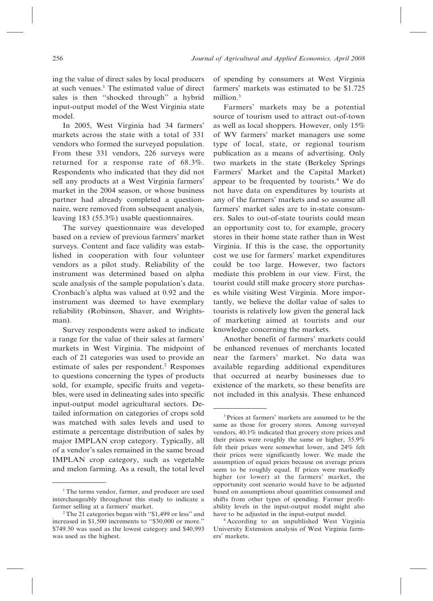ing the value of direct sales by local producers at such venues.1 The estimated value of direct sales is then ''shocked through'' a hybrid input-output model of the West Virginia state model.

In 2005, West Virginia had 34 farmers' markets across the state with a total of 331 vendors who formed the surveyed population. From these 331 vendors, 226 surveys were returned for a response rate of 68.3%. Respondents who indicated that they did not sell any products at a West Virginia farmers' market in the 2004 season, or whose business partner had already completed a questionnaire, were removed from subsequent analysis, leaving 183 (55.3%) usable questionnaires.

The survey questionnaire was developed based on a review of previous farmers' market surveys. Content and face validity was established in cooperation with four volunteer vendors as a pilot study. Reliability of the instrument was determined based on alpha scale analysis of the sample population's data. Cronbach's alpha was valued at 0.92 and the instrument was deemed to have exemplary reliability (Robinson, Shaver, and Wrightsman).

Survey respondents were asked to indicate a range for the value of their sales at farmers' markets in West Virginia. The midpoint of each of 21 categories was used to provide an estimate of sales per respondent.<sup>2</sup> Responses to questions concerning the types of products sold, for example, specific fruits and vegetables, were used in delineating sales into specific input-output model agricultural sectors. Detailed information on categories of crops sold was matched with sales levels and used to estimate a percentage distribution of sales by major IMPLAN crop category. Typically, all of a vendor's sales remained in the same broad IMPLAN crop category, such as vegetable and melon farming. As a result, the total level of spending by consumers at West Virginia farmers' markets was estimated to be \$1.725 million.<sup>3</sup>

Farmers' markets may be a potential source of tourism used to attract out-of-town as well as local shoppers. However, only 15% of WV farmers' market managers use some type of local, state, or regional tourism publication as a means of advertising. Only two markets in the state (Berkeley Springs Farmers' Market and the Capital Market) appear to be frequented by tourists.<sup>4</sup> We do not have data on expenditures by tourists at any of the farmers' markets and so assume all farmers' market sales are to in-state consumers. Sales to out-of-state tourists could mean an opportunity cost to, for example, grocery stores in their home state rather than in West Virginia. If this is the case, the opportunity cost we use for farmers' market expenditures could be too large. However, two factors mediate this problem in our view. First, the tourist could still make grocery store purchases while visiting West Virginia. More importantly, we believe the dollar value of sales to tourists is relatively low given the general lack of marketing aimed at tourists and our knowledge concerning the markets.

Another benefit of farmers' markets could be enhanced revenues of merchants located near the farmers' market. No data was available regarding additional expenditures that occurred at nearby businesses due to existence of the markets, so these benefits are not included in this analysis. These enhanced

<sup>&</sup>lt;sup>1</sup>The terms vendor, farmer, and producer are used interchangeably throughout this study to indicate a farmer selling at a farmers' market.

<sup>2</sup>The 21 categories began with ''\$1,499 or less'' and increased in \$1,500 increments to ''\$30,000 or more.'' \$749.50 was used as the lowest category and \$40,993 was used as the highest.

<sup>3</sup>Prices at farmers' markets are assumed to be the same as those for grocery stores. Among surveyed vendors, 40.1% indicated that grocery store prices and their prices were roughly the same or higher, 35.9% felt their prices were somewhat lower, and 24% felt their prices were significantly lower. We made the assumption of equal prices because on average prices seem to be roughly equal. If prices were markedly higher (or lower) at the farmers' market, the opportunity cost scenario would have to be adjusted based on assumptions about quantities consumed and shifts from other types of spending. Farmer profitability levels in the input-output model might also have to be adjusted in the input-output model.

<sup>4</sup> According to an unpublished West Virginia University Extension analysis of West Virginia farmers' markets.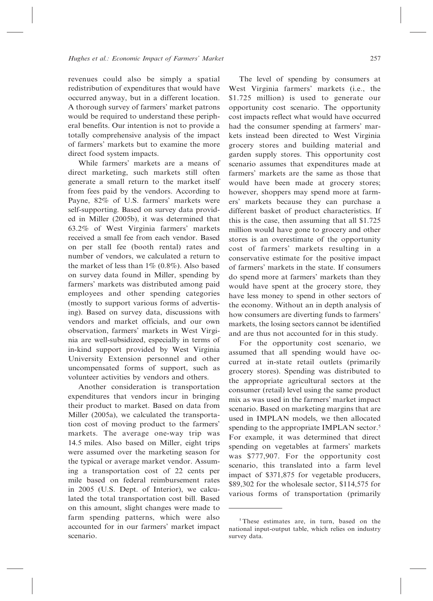revenues could also be simply a spatial redistribution of expenditures that would have occurred anyway, but in a different location. A thorough survey of farmers' market patrons would be required to understand these peripheral benefits. Our intention is not to provide a totally comprehensive analysis of the impact of farmers' markets but to examine the more direct food system impacts.

While farmers' markets are a means of direct marketing, such markets still often generate a small return to the market itself from fees paid by the vendors. According to Payne, 82% of U.S. farmers' markets were self-supporting. Based on survey data provided in Miller (2005b), it was determined that 63.2% of West Virginia farmers' markets received a small fee from each vendor. Based on per stall fee (booth rental) rates and number of vendors, we calculated a return to the market of less than  $1\%$  (0.8%). Also based on survey data found in Miller, spending by farmers' markets was distributed among paid employees and other spending categories (mostly to support various forms of advertising). Based on survey data, discussions with vendors and market officials, and our own observation, farmers' markets in West Virginia are well-subsidized, especially in terms of in-kind support provided by West Virginia University Extension personnel and other uncompensated forms of support, such as volunteer activities by vendors and others.

Another consideration is transportation expenditures that vendors incur in bringing their product to market. Based on data from Miller (2005a), we calculated the transportation cost of moving product to the farmers' markets. The average one-way trip was 14.5 miles. Also based on Miller, eight trips were assumed over the marketing season for the typical or average market vendor. Assuming a transportation cost of 22 cents per mile based on federal reimbursement rates in 2005 (U.S. Dept. of Interior), we calculated the total transportation cost bill. Based on this amount, slight changes were made to farm spending patterns, which were also accounted for in our farmers' market impact scenario.

The level of spending by consumers at West Virginia farmers' markets (i.e., the \$1.725 million) is used to generate our opportunity cost scenario. The opportunity cost impacts reflect what would have occurred had the consumer spending at farmers' markets instead been directed to West Virginia grocery stores and building material and garden supply stores. This opportunity cost scenario assumes that expenditures made at farmers' markets are the same as those that would have been made at grocery stores; however, shoppers may spend more at farmers' markets because they can purchase a different basket of product characteristics. If this is the case, then assuming that all \$1.725 million would have gone to grocery and other stores is an overestimate of the opportunity cost of farmers' markets resulting in a conservative estimate for the positive impact of farmers' markets in the state. If consumers do spend more at farmers' markets than they would have spent at the grocery store, they have less money to spend in other sectors of the economy. Without an in depth analysis of how consumers are diverting funds to farmers' markets, the losing sectors cannot be identified and are thus not accounted for in this study.

For the opportunity cost scenario, we assumed that all spending would have occurred at in-state retail outlets (primarily grocery stores). Spending was distributed to the appropriate agricultural sectors at the consumer (retail) level using the same product mix as was used in the farmers' market impact scenario. Based on marketing margins that are used in IMPLAN models, we then allocated spending to the appropriate IMPLAN sector.<sup>5</sup> For example, it was determined that direct spending on vegetables at farmers' markets was \$777,907. For the opportunity cost scenario, this translated into a farm level impact of \$371,875 for vegetable producers, \$89,302 for the wholesale sector, \$114,575 for various forms of transportation (primarily

<sup>&</sup>lt;sup>5</sup>These estimates are, in turn, based on the national input-output table, which relies on industry survey data.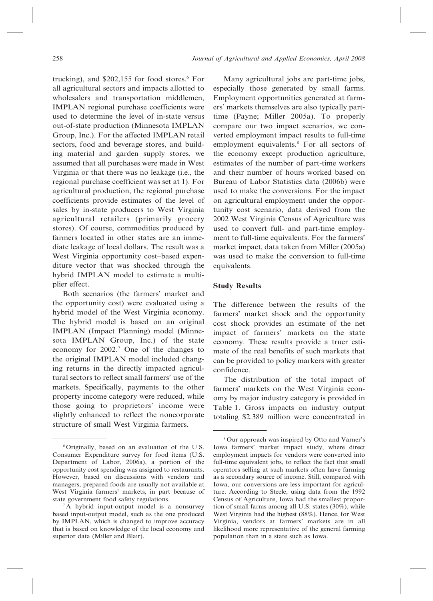trucking), and  $$202,155$  for food stores.<sup>6</sup> For all agricultural sectors and impacts allotted to wholesalers and transportation middlemen, IMPLAN regional purchase coefficients were used to determine the level of in-state versus out-of-state production (Minnesota IMPLAN Group, Inc.). For the affected IMPLAN retail sectors, food and beverage stores, and building material and garden supply stores, we assumed that all purchases were made in West Virginia or that there was no leakage (i.e., the regional purchase coefficient was set at 1). For agricultural production, the regional purchase coefficients provide estimates of the level of sales by in-state producers to West Virginia agricultural retailers (primarily grocery stores). Of course, commodities produced by farmers located in other states are an immediate leakage of local dollars. The result was a West Virginia opportunity cost–based expenditure vector that was shocked through the hybrid IMPLAN model to estimate a multiplier effect.

Both scenarios (the farmers' market and the opportunity cost) were evaluated using a hybrid model of the West Virginia economy. The hybrid model is based on an original IMPLAN (Impact Planning) model (Minnesota IMPLAN Group, Inc.) of the state economy for 2002.7 One of the changes to the original IMPLAN model included changing returns in the directly impacted agricultural sectors to reflect small farmers' use of the markets. Specifically, payments to the other property income category were reduced, while those going to proprietors' income were slightly enhanced to reflect the noncorporate structure of small West Virginia farmers.

Many agricultural jobs are part-time jobs, especially those generated by small farms. Employment opportunities generated at farmers' markets themselves are also typically parttime (Payne; Miller 2005a). To properly compare our two impact scenarios, we converted employment impact results to full-time employment equivalents.8 For all sectors of the economy except production agriculture, estimates of the number of part-time workers and their number of hours worked based on Bureau of Labor Statistics data (2006b) were used to make the conversions. For the impact on agricultural employment under the opportunity cost scenario, data derived from the 2002 West Virginia Census of Agriculture was used to convert full- and part-time employment to full-time equivalents. For the farmers' market impact, data taken from Miller (2005a) was used to make the conversion to full-time equivalents.

#### Study Results

The difference between the results of the farmers' market shock and the opportunity cost shock provides an estimate of the net impact of farmers' markets on the state economy. These results provide a truer estimate of the real benefits of such markets that can be provided to policy markers with greater confidence.

The distribution of the total impact of farmers' markets on the West Virginia economy by major industry category is provided in Table 1. Gross impacts on industry output totaling \$2.389 million were concentrated in

<sup>6</sup> Originally, based on an evaluation of the U.S. Consumer Expenditure survey for food items (U.S. Department of Labor, 2006a), a portion of the opportunity cost spending was assigned to restaurants. However, based on discussions with vendors and managers, prepared foods are usually not available at West Virginia farmers' markets, in part because of state government food safety regulations.

<sup>&</sup>lt;sup>7</sup>A hybrid input-output model is a nonsurvey based input-output model, such as the one produced by IMPLAN, which is changed to improve accuracy that is based on knowledge of the local economy and superior data (Miller and Blair).

<sup>8</sup>Our approach was inspired by Otto and Varner's Iowa farmers' market impact study, where direct employment impacts for vendors were converted into full-time equivalent jobs, to reflect the fact that small operators selling at such markets often have farming as a secondary source of income. Still, compared with Iowa, our conversions are less important for agriculture. According to Steele, using data from the 1992 Census of Agriculture, Iowa had the smallest proportion of small farms among all U.S. states (30%), while West Virginia had the highest (88%). Hence, for West Virginia, vendors at farmers' markets are in all likelihood more representative of the general farming population than in a state such as Iowa.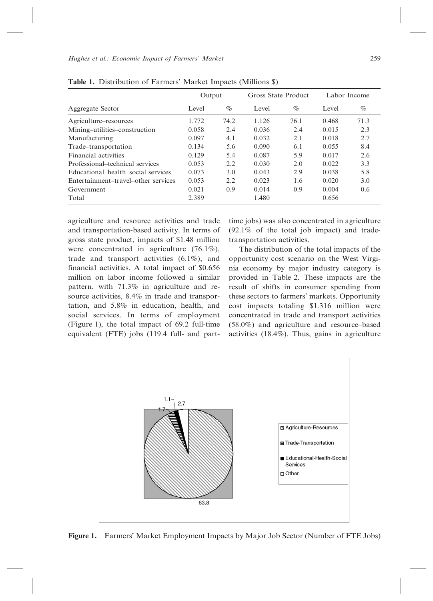| Output |      | Gross State Product |      | Labor Income |      |  |  |
|--------|------|---------------------|------|--------------|------|--|--|
| Level  | $\%$ | Level               | $\%$ | Level        | $\%$ |  |  |
| 1.772  | 74.2 | 1.126               | 76.1 | 0.468        | 71.3 |  |  |
| 0.058  | 2.4  | 0.036               | 2.4  | 0.015        | 2.3  |  |  |
| 0.097  | 4.1  | 0.032               | 2.1  | 0.018        | 2.7  |  |  |
| 0.134  | 5.6  | 0.090               | 6.1  | 0.055        | 8.4  |  |  |
| 0.129  | 5.4  | 0.087               | 5.9  | 0.017        | 2.6  |  |  |
| 0.053  | 2.2  | 0.030               | 2.0  | 0.022        | 3.3  |  |  |
| 0.073  | 3.0  | 0.043               | 2.9  | 0.038        | 5.8  |  |  |
| 0.053  | 2.2  | 0.023               | 1.6  | 0.020        | 3.0  |  |  |
| 0.021  | 0.9  | 0.014               | 0.9  | 0.004        | 0.6  |  |  |
| 2.389  |      | 1.480               |      | 0.656        |      |  |  |
|        |      |                     |      |              |      |  |  |

Table 1. Distribution of Farmers' Market Impacts (Millions \$)

agriculture and resource activities and trade and transportation-based activity. In terms of gross state product, impacts of \$1.48 million were concentrated in agriculture (76.1%), trade and transport activities (6.1%), and financial activities. A total impact of \$0.656 million on labor income followed a similar pattern, with 71.3% in agriculture and resource activities, 8.4% in trade and transportation, and 5.8% in education, health, and social services. In terms of employment (Figure 1), the total impact of 69.2 full-time equivalent (FTE) jobs (119.4 full- and parttime jobs) was also concentrated in agriculture (92.1% of the total job impact) and tradetransportation activities.

The distribution of the total impacts of the opportunity cost scenario on the West Virginia economy by major industry category is provided in Table 2. These impacts are the result of shifts in consumer spending from these sectors to farmers' markets. Opportunity cost impacts totaling \$1.316 million were concentrated in trade and transport activities (58.0%) and agriculture and resource–based activities (18.4%). Thus, gains in agriculture



Figure 1. Farmers' Market Employment Impacts by Major Job Sector (Number of FTE Jobs)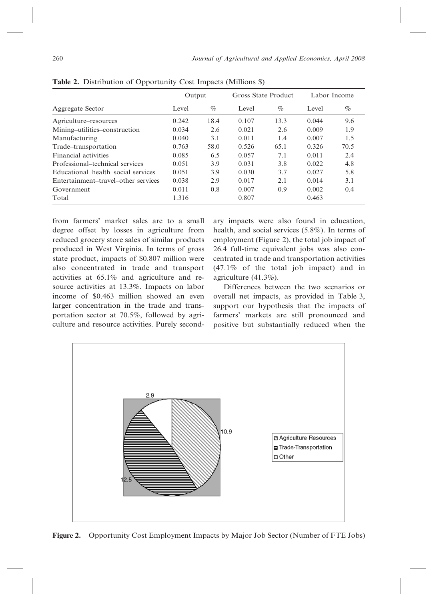|                                     | Output |      | Gross State Product |      | Labor Income |      |
|-------------------------------------|--------|------|---------------------|------|--------------|------|
| Aggregate Sector                    | Level  | $\%$ | Level               | $\%$ | Level        | $\%$ |
| Agriculture–resources               | 0.242  | 18.4 | 0.107               | 13.3 | 0.044        | 9.6  |
| Mining-utilities-construction       | 0.034  | 2.6  | 0.021               | 2.6  | 0.009        | 1.9  |
| Manufacturing                       | 0.040  | 3.1  | 0.011               | 1.4  | 0.007        | 1.5  |
| Trade-transportation                | 0.763  | 58.0 | 0.526               | 65.1 | 0.326        | 70.5 |
| Financial activities                | 0.085  | 6.5  | 0.057               | 7.1  | 0.011        | 2.4  |
| Professional-technical services     | 0.051  | 3.9  | 0.031               | 3.8  | 0.022        | 4.8  |
| Educational-health-social services  | 0.051  | 3.9  | 0.030               | 3.7  | 0.027        | 5.8  |
| Entertainment-travel-other services | 0.038  | 2.9  | 0.017               | 2.1  | 0.014        | 3.1  |
| Government                          | 0.011  | 0.8  | 0.007               | 0.9  | 0.002        | 0.4  |
| Total                               | 1.316  |      | 0.807               |      | 0.463        |      |

Table 2. Distribution of Opportunity Cost Impacts (Millions \$)

from farmers' market sales are to a small degree offset by losses in agriculture from reduced grocery store sales of similar products produced in West Virginia. In terms of gross state product, impacts of \$0.807 million were also concentrated in trade and transport activities at 65.1% and agriculture and resource activities at 13.3%. Impacts on labor income of \$0.463 million showed an even larger concentration in the trade and transportation sector at 70.5%, followed by agriculture and resource activities. Purely secondary impacts were also found in education, health, and social services (5.8%). In terms of employment (Figure 2), the total job impact of 26.4 full-time equivalent jobs was also concentrated in trade and transportation activities (47.1% of the total job impact) and in agriculture (41.3%).

Differences between the two scenarios or overall net impacts, as provided in Table 3, support our hypothesis that the impacts of farmers' markets are still pronounced and positive but substantially reduced when the



Figure 2. Opportunity Cost Employment Impacts by Major Job Sector (Number of FTE Jobs)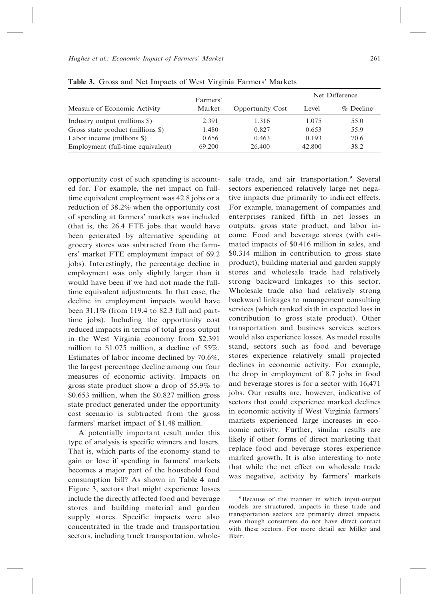|                                   | Farmers' |                         | Net Difference |           |  |
|-----------------------------------|----------|-------------------------|----------------|-----------|--|
| Measure of Economic Activity      | Market   | <b>Opportunity Cost</b> | Level          | % Decline |  |
| Industry output (millions \$)     | 2.391    | 1.316                   | 1.075          | 55.0      |  |
| Gross state product (millions \$) | 1.480    | 0.827                   | 0.653          | 55.9      |  |
| Labor income (millions \$)        | 0.656    | 0.463                   | 0.193          | 70.6      |  |
| Employment (full-time equivalent) | 69.200   | 26.400                  | 42.800         | 38.2      |  |

Table 3. Gross and Net Impacts of West Virginia Farmers' Markets

opportunity cost of such spending is accounted for. For example, the net impact on fulltime equivalent employment was 42.8 jobs or a reduction of 38.2% when the opportunity cost of spending at farmers' markets was included (that is, the 26.4 FTE jobs that would have been generated by alternative spending at grocery stores was subtracted from the farmers' market FTE employment impact of 69.2 jobs). Interestingly, the percentage decline in employment was only slightly larger than it would have been if we had not made the fulltime equivalent adjustments. In that case, the decline in employment impacts would have been 31.1% (from 119.4 to 82.3 full and parttime jobs). Including the opportunity cost reduced impacts in terms of total gross output in the West Virginia economy from \$2.391 million to \$1.075 million, a decline of 55%. Estimates of labor income declined by 70.6%, the largest percentage decline among our four measures of economic activity. Impacts on gross state product show a drop of 55.9% to \$0.653 million, when the \$0.827 million gross state product generated under the opportunity cost scenario is subtracted from the gross farmers' market impact of \$1.48 million.

A potentially important result under this type of analysis is specific winners and losers. That is, which parts of the economy stand to gain or lose if spending in farmers' markets becomes a major part of the household food consumption bill? As shown in Table 4 and Figure 3, sectors that might experience losses include the directly affected food and beverage stores and building material and garden supply stores. Specific impacts were also concentrated in the trade and transportation sectors, including truck transportation, whole-

sale trade, and air transportation.<sup>9</sup> Several sectors experienced relatively large net negative impacts due primarily to indirect effects. For example, management of companies and enterprises ranked fifth in net losses in outputs, gross state product, and labor income. Food and beverage stores (with estimated impacts of \$0.416 million in sales, and \$0.314 million in contribution to gross state product), building material and garden supply stores and wholesale trade had relatively strong backward linkages to this sector. Wholesale trade also had relatively strong backward linkages to management consulting services (which ranked sixth in expected loss in contribution to gross state product). Other transportation and business services sectors would also experience losses. As model results stand, sectors such as food and beverage stores experience relatively small projected declines in economic activity. For example, the drop in employment of 8.7 jobs in food and beverage stores is for a sector with 16,471 jobs. Our results are, however, indicative of sectors that could experience marked declines in economic activity if West Virginia farmers' markets experienced large increases in economic activity. Further, similar results are likely if other forms of direct marketing that replace food and beverage stores experience marked growth. It is also interesting to note that while the net effect on wholesale trade was negative, activity by farmers' markets

<sup>9</sup>Because of the manner in which input-output models are structured, impacts in these trade and transportation sectors are primarily direct impacts, even though consumers do not have direct contact with these sectors. For more detail see Miller and Blair.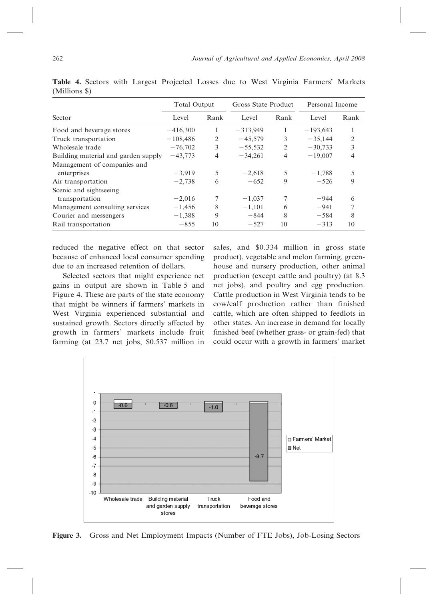|                                     | <b>Total Output</b> |      | Gross State Product |      | Personal Income |                |
|-------------------------------------|---------------------|------|---------------------|------|-----------------|----------------|
| Sector                              | Level               | Rank | Level               | Rank | Level           | Rank           |
| Food and beverage stores            | $-416,300$          | 1    | $-313,949$          |      | $-193,643$      |                |
| Truck transportation                | $-108,486$          | 2    | $-45,579$           | 3    | $-35,144$       | 2              |
| Wholesale trade                     | $-76,702$           | 3    | $-55,532$           | 2    | $-30,733$       | 3              |
| Building material and garden supply | $-43,773$           | 4    | $-34,261$           | 4    | $-19,007$       | $\overline{4}$ |
| Management of companies and         |                     |      |                     |      |                 |                |
| enterprises                         | $-3,919$            | 5    | $-2,618$            | 5    | $-1,788$        | 5              |
| Air transportation                  | $-2,738$            | 6    | $-652$              | 9    | $-526$          | 9              |
| Scenic and sightseeing              |                     |      |                     |      |                 |                |
| transportation                      | $-2,016$            | 7    | $-1,037$            |      | $-944$          | 6              |
| Management consulting services      | $-1,456$            | 8    | $-1,101$            | 6    | $-941$          |                |
| Courier and messengers              | $-1,388$            | 9    | $-844$              | 8    | $-584$          | 8              |
| Rail transportation                 | $-855$              | 10   | $-527$              | 10   | $-313$          | 10             |

Table 4. Sectors with Largest Projected Losses due to West Virginia Farmers' Markets (Millions \$)

reduced the negative effect on that sector because of enhanced local consumer spending due to an increased retention of dollars.

Selected sectors that might experience net gains in output are shown in Table 5 and Figure 4. These are parts of the state economy that might be winners if farmers' markets in West Virginia experienced substantial and sustained growth. Sectors directly affected by growth in farmers' markets include fruit farming (at 23.7 net jobs, \$0.537 million in sales, and \$0.334 million in gross state product), vegetable and melon farming, greenhouse and nursery production, other animal production (except cattle and poultry) (at 8.3 net jobs), and poultry and egg production. Cattle production in West Virginia tends to be cow/calf production rather than finished cattle, which are often shipped to feedlots in other states. An increase in demand for locally finished beef (whether grass- or grain-fed) that could occur with a growth in farmers' market



Figure 3. Gross and Net Employment Impacts (Number of FTE Jobs), Job-Losing Sectors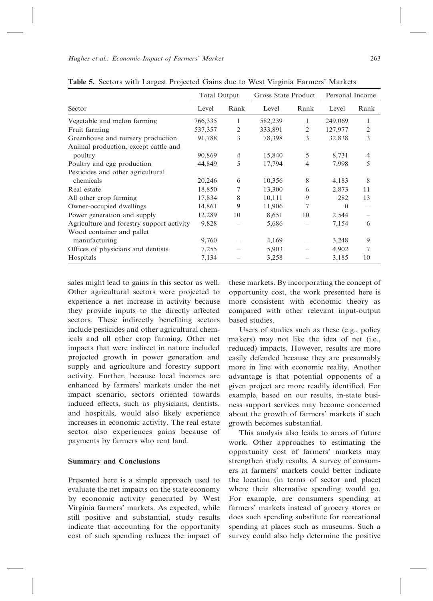|                                           | <b>Total Output</b> |      | Gross State Product |                          | Personal Income |      |
|-------------------------------------------|---------------------|------|---------------------|--------------------------|-----------------|------|
| Sector                                    | Level               | Rank | Level               | Rank                     | Level           | Rank |
| Vegetable and melon farming               | 766,335             | 1    | 582,239             | 1                        | 249,069         | 1    |
| Fruit farming                             | 537,357             | 2    | 333,891             | 2                        | 127,977         | 2    |
| Greenhouse and nursery production         | 91,788              | 3    | 78,398              | 3                        | 32,838          | 3    |
| Animal production, except cattle and      |                     |      |                     |                          |                 |      |
| poultry                                   | 90,869              | 4    | 15,840              | 5                        | 8,731           | 4    |
| Poultry and egg production                | 44,849              | 5    | 17,794              | $\overline{4}$           | 7,998           | 5    |
| Pesticides and other agricultural         |                     |      |                     |                          |                 |      |
| chemicals                                 | 20,246              | 6    | 10,356              | 8                        | 4,183           | 8    |
| Real estate                               | 18,850              | 7    | 13,300              | 6                        | 2,873           | 11   |
| All other crop farming                    | 17,834              | 8    | 10,111              | 9                        | 282             | 13   |
| Owner-occupied dwellings                  | 14,861              | 9    | 11,906              | 7                        | $\Omega$        |      |
| Power generation and supply               | 12,289              | 10   | 8,651               | 10                       | 2,544           |      |
| Agriculture and forestry support activity | 9,828               |      | 5,686               | $\qquad \qquad$          | 7,154           | 6    |
| Wood container and pallet                 |                     |      |                     |                          |                 |      |
| manufacturing                             | 9,760               |      | 4,169               | $\overline{\phantom{0}}$ | 3,248           | 9    |
| Offices of physicians and dentists        | 7,255               |      | 5,903               |                          | 4,902           | 7    |
| Hospitals                                 | 7,134               |      | 3,258               |                          | 3,185           | 10   |
|                                           |                     |      |                     |                          |                 |      |

Table 5. Sectors with Largest Projected Gains due to West Virginia Farmers' Markets

sales might lead to gains in this sector as well. Other agricultural sectors were projected to experience a net increase in activity because they provide inputs to the directly affected sectors. These indirectly benefiting sectors include pesticides and other agricultural chemicals and all other crop farming. Other net impacts that were indirect in nature included projected growth in power generation and supply and agriculture and forestry support activity. Further, because local incomes are enhanced by farmers' markets under the net impact scenario, sectors oriented towards induced effects, such as physicians, dentists, and hospitals, would also likely experience increases in economic activity. The real estate sector also experiences gains because of payments by farmers who rent land.

## Summary and Conclusions

Presented here is a simple approach used to evaluate the net impacts on the state economy by economic activity generated by West Virginia farmers' markets. As expected, while still positive and substantial, study results indicate that accounting for the opportunity cost of such spending reduces the impact of

these markets. By incorporating the concept of opportunity cost, the work presented here is more consistent with economic theory as compared with other relevant input-output based studies.

Users of studies such as these (e.g., policy makers) may not like the idea of net (i.e., reduced) impacts. However, results are more easily defended because they are presumably more in line with economic reality. Another advantage is that potential opponents of a given project are more readily identified. For example, based on our results, in-state business support services may become concerned about the growth of farmers' markets if such growth becomes substantial.

This analysis also leads to areas of future work. Other approaches to estimating the opportunity cost of farmers' markets may strengthen study results. A survey of consumers at farmers' markets could better indicate the location (in terms of sector and place) where their alternative spending would go. For example, are consumers spending at farmers' markets instead of grocery stores or does such spending substitute for recreational spending at places such as museums. Such a survey could also help determine the positive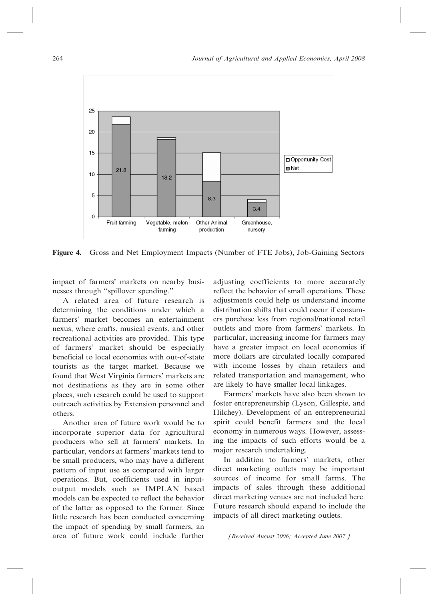

Figure 4. Gross and Net Employment Impacts (Number of FTE Jobs), Job-Gaining Sectors

impact of farmers' markets on nearby businesses through ''spillover spending.''

A related area of future research is determining the conditions under which a farmers' market becomes an entertainment nexus, where crafts, musical events, and other recreational activities are provided. This type of farmers' market should be especially beneficial to local economies with out-of-state tourists as the target market. Because we found that West Virginia farmers' markets are not destinations as they are in some other places, such research could be used to support outreach activities by Extension personnel and others.

Another area of future work would be to incorporate superior data for agricultural producers who sell at farmers' markets. In particular, vendors at farmers' markets tend to be small producers, who may have a different pattern of input use as compared with larger operations. But, coefficients used in inputoutput models such as IMPLAN based models can be expected to reflect the behavior of the latter as opposed to the former. Since little research has been conducted concerning the impact of spending by small farmers, an area of future work could include further adjusting coefficients to more accurately reflect the behavior of small operations. These adjustments could help us understand income distribution shifts that could occur if consumers purchase less from regional/national retail outlets and more from farmers' markets. In particular, increasing income for farmers may have a greater impact on local economies if more dollars are circulated locally compared with income losses by chain retailers and related transportation and management, who are likely to have smaller local linkages.

Farmers' markets have also been shown to foster entrepreneurship (Lyson, Gillespie, and Hilchey). Development of an entrepreneurial spirit could benefit farmers and the local economy in numerous ways. However, assessing the impacts of such efforts would be a major research undertaking.

In addition to farmers' markets, other direct marketing outlets may be important sources of income for small farms. The impacts of sales through these additional direct marketing venues are not included here. Future research should expand to include the impacts of all direct marketing outlets.

[Received August 2006; Accepted June 2007.]